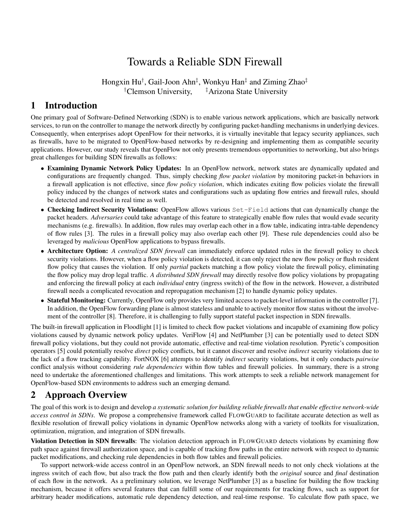# Towards a Reliable SDN Firewall

Hongxin Hu*†* , Gail-Joon Ahn*‡* , Wonkyu Han*‡* and Ziming Zhao*‡ †*Clemson University, *‡*Arizona State University

### 1 Introduction

One primary goal of Software-Defined Networking (SDN) is to enable various network applications, which are basically network services, to run on the controller to manage the network directly by configuring packet-handling mechanisms in underlying devices. Consequently, when enterprises adopt OpenFlow for their networks, it is virtually inevitable that legacy security appliances, such as firewalls, have to be migrated to OpenFlow-based networks by re-designing and implementing them as compatible security applications. However, our study reveals that OpenFlow not only presents tremendous opportunities to networking, but also brings great challenges for building SDN firewalls as follows:

- Examining Dynamic Network Policy Updates: In an OpenFlow network, network states are dynamically updated and configurations are frequently changed. Thus, simply checking *flow packet violation* by monitoring packet-in behaviors in a firewall application is not effective, since *flow policy violation*, which indicates exiting flow policies violate the firewall policy induced by the changes of network states and configurations such as updating flow entries and firewall rules, should be detected and resolved in real time as well.
- Checking Indirect Security Violations: OpenFlow allows various Set-Field actions that can dynamically change the packet headers. *Adversaries* could take advantage of this feature to strategically enable flow rules that would evade security mechanisms (e.g. firewalls). In addition, flow rules may overlap each other in a flow table, indicating intra-table dependency of flow rules [3]. The rules in a firewall policy may also overlap each other [9]. These rule dependencies could also be leveraged by *malicious* OpenFlow applications to bypass firewalls.
- Architecture Option: *A centralized SDN firewall* can immediately enforce updated rules in the firewall policy to check security violations. However, when a flow policy violation is detected, it can only reject the new flow policy or flush resident flow policy that causes the violation. If only *partial* packets matching a flow policy violate the firewall policy, eliminating the flow policy may drop legal traffic. *A distributed SDN firewall* may directly resolve flow policy violations by propagating and enforcing the firewall policy at each *individual* entry (ingress switch) of the flow in the network. However, a distributed firewall needs a complicated revocation and repropagation mechanism [2] to handle dynamic policy updates.
- Stateful Monitoring: Currently, OpenFlow only provides very limited access to packet-level information in the controller [7]. In addition, the OpenFlow forwarding plane is almost stateless and unable to actively monitor flow status without the involvement of the controller [8]. Therefore, it is challenging to fully support stateful packet inspection in SDN firewalls.

The built-in firewall application in Floodlight [1] is limited to check flow packet violations and incapable of examining flow policy violations caused by dynamic network policy updates. VeriFlow [4] and NetPlumber [3] can be potentially used to detect SDN firewall policy violations, but they could not provide automatic, effective and real-time violation resolution. Pyretic's composition operators [5] could potentially resolve *direct* policy conflicts, but it cannot discover and resolve *indirect* security violations due to the lack of a flow tracking capability. FortNOX [6] attempts to identify *indirect* security violations, but it only conducts *pairwise* conflict analysis without considering *rule dependencies* within flow tables and firewall policies. In summary, there is a strong need to undertake the aforementioned challenges and limitations. This work attempts to seek a reliable network management for OpenFlow-based SDN environments to address such an emerging demand.

## 2 Approach Overview

The goal of this work is to design and develop *a systematic solution for building reliable firewalls that enable effective network-wide access control in SDNs*. We propose a comprehensive framework called FLOWGUARD to facilitate accurate detection as well as flexible resolution of firewall policy violations in dynamic OpenFlow networks along with a variety of toolkits for visualization, optimization, migration, and integration of SDN firewalls.

Violation Detection in SDN firewalls: The violation detection approach in FLOWGUARD detects violations by examining flow path space against firewall authorization space, and is capable of tracking flow paths in the entire network with respect to dynamic packet modifications, and checking rule dependencies in both flow tables and firewall policies.

To support network-wide access control in an OpenFlow network, an SDN firewall needs to not only check violations at the ingress switch of each flow, but also track the flow path and then clearly identify both the *original* source and *final* destination of each flow in the network. As a preliminary solution, we leverage NetPlumber [3] as a baseline for building the flow tracking mechanism, because it offers several features that can fulfill some of our requirements for tracking flows, such as support for arbitrary header modifications, automatic rule dependency detection, and real-time response. To calculate flow path space, we